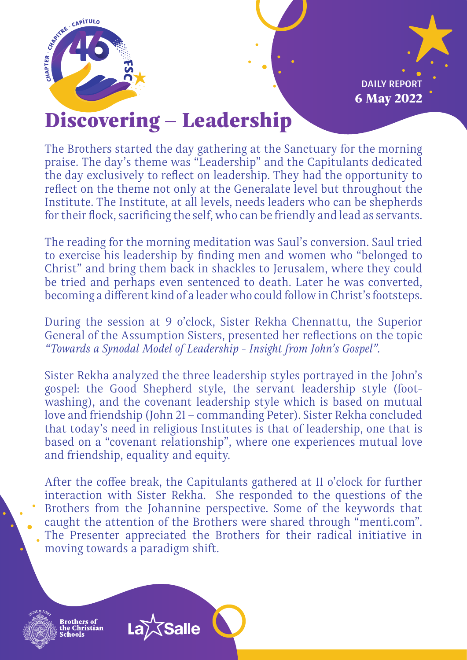

6 May 2022 DAILY REPORT

## Discovering – Leadership

The Brothers started the day gathering at the Sanctuary for the morning praise. The day's theme was "Leadership" and the Capitulants dedicated the day exclusively to reflect on leadership. They had the opportunity to reflect on the theme not only at the Generalate level but throughout the Institute. The Institute, at all levels, needs leaders who can be shepherds for their flock, sacrificing the self, who can be friendly and lead as servants.

The reading for the morning meditation was Saul's conversion. Saul tried to exercise his leadership by finding men and women who "belonged to Christ" and bring them back in shackles to Jerusalem, where they could be tried and perhaps even sentenced to death. Later he was converted, becoming a different kind of a leader who could follow in Christ's footsteps.

During the session at 9 o'clock, Sister Rekha Chennattu, the Superior General of the Assumption Sisters, presented her reflections on the topic *"Towards a Synodal Model of Leadership - Insight from John's Gospel"*.

Sister Rekha analyzed the three leadership styles portrayed in the John's gospel: the Good Shepherd style, the servant leadership style (footwashing), and the covenant leadership style which is based on mutual love and friendship (John 21 – commanding Peter). Sister Rekha concluded that today's need in religious Institutes is that of leadership, one that is based on a "covenant relationship", where one experiences mutual love and friendship, equality and equity.

After the coffee break, the Capitulants gathered at 11 o'clock for further interaction with Sister Rekha. She responded to the questions of the Brothers from the Johannine perspective. Some of the keywords that caught the attention of the Brothers were shared through "menti.com". The Presenter appreciated the Brothers for their radical initiative in moving towards a paradigm shift.

**Salle**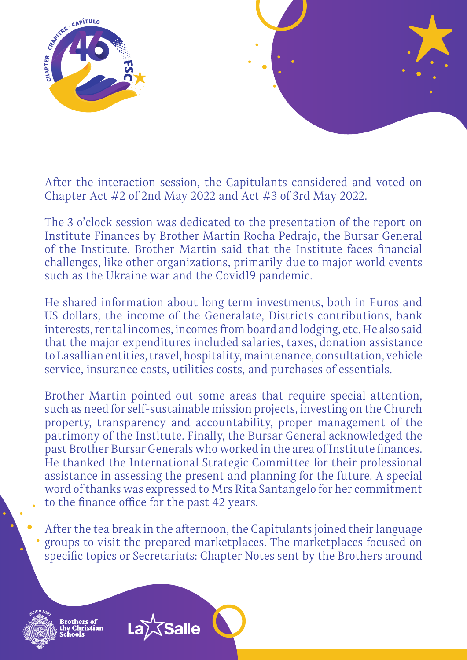

After the interaction session, the Capitulants considered and voted on Chapter Act #2 of 2nd May 2022 and Act #3 of 3rd May 2022.

The 3 o'clock session was dedicated to the presentation of the report on Institute Finances by Brother Martin Rocha Pedrajo, the Bursar General of the Institute. Brother Martin said that the Institute faces financial challenges, like other organizations, primarily due to major world events such as the Ukraine war and the Covid19 pandemic.

He shared information about long term investments, both in Euros and US dollars, the income of the Generalate, Districts contributions, bank interests, rental incomes, incomes from board and lodging, etc. He also said that the major expenditures included salaries, taxes, donation assistance to Lasallian entities, travel, hospitality, maintenance, consultation, vehicle service, insurance costs, utilities costs, and purchases of essentials.

Brother Martin pointed out some areas that require special attention, such as need for self-sustainable mission projects, investing on the Church property, transparency and accountability, proper management of the patrimony of the Institute. Finally, the Bursar General acknowledged the past Brother Bursar Generals who worked in the area of Institute finances. He thanked the International Strategic Committee for their professional assistance in assessing the present and planning for the future. A special word of thanks was expressed to Mrs Rita Santangelo for her commitment to the finance office for the past 42 years.

After the tea break in the afternoon, the Capitulants joined their language groups to visit the prepared marketplaces. The marketplaces focused on specific topics or Secretariats: Chapter Notes sent by the Brothers around